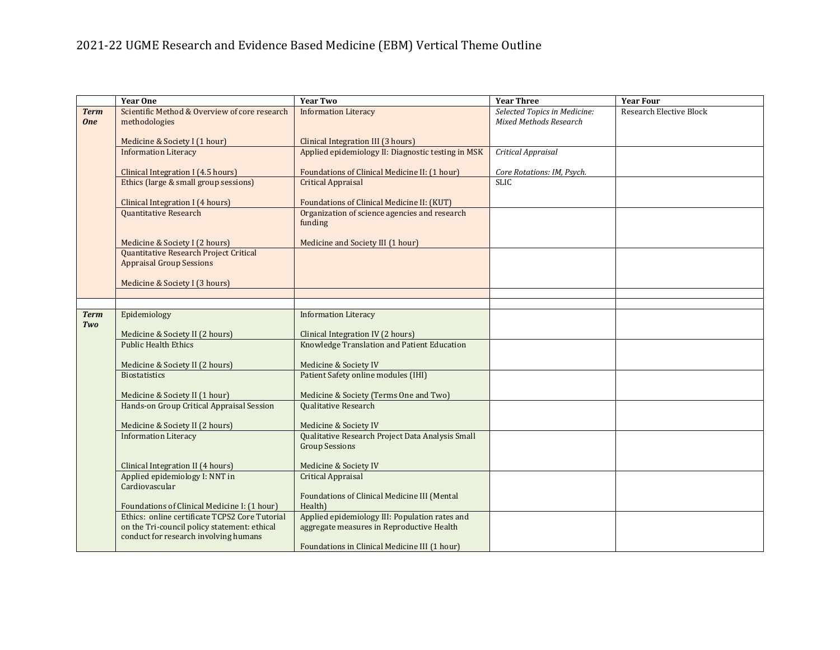# 2021-22 UGME Research and Evidence Based Medicine (EBM) Vertical Theme Outline

|             | <b>Year One</b>                                                                       | <b>Year Two</b>                                                                             | <b>Year Three</b>             | <b>Year Four</b>               |
|-------------|---------------------------------------------------------------------------------------|---------------------------------------------------------------------------------------------|-------------------------------|--------------------------------|
| <b>Term</b> | Scientific Method & Overview of core research                                         | <b>Information Literacy</b>                                                                 | Selected Topics in Medicine:  | <b>Research Elective Block</b> |
| <b>One</b>  | methodologies                                                                         |                                                                                             | <b>Mixed Methods Research</b> |                                |
|             | Medicine & Society I (1 hour)                                                         | Clinical Integration III (3 hours)                                                          |                               |                                |
|             | <b>Information Literacy</b>                                                           | Applied epidemiology II: Diagnostic testing in MSK                                          | Critical Appraisal            |                                |
|             |                                                                                       |                                                                                             |                               |                                |
|             | Clinical Integration I (4.5 hours)                                                    | Foundations of Clinical Medicine II: (1 hour)                                               | Core Rotations: IM, Psych.    |                                |
|             | Ethics (large & small group sessions)                                                 | <b>Critical Appraisal</b>                                                                   | <b>SLIC</b>                   |                                |
|             |                                                                                       |                                                                                             |                               |                                |
|             | Clinical Integration I (4 hours)<br>Quantitative Research                             | Foundations of Clinical Medicine II: (KUT)<br>Organization of science agencies and research |                               |                                |
|             |                                                                                       | funding                                                                                     |                               |                                |
|             |                                                                                       |                                                                                             |                               |                                |
|             | Medicine & Society I (2 hours)                                                        | Medicine and Society III (1 hour)                                                           |                               |                                |
|             | Quantitative Research Project Critical                                                |                                                                                             |                               |                                |
|             | <b>Appraisal Group Sessions</b>                                                       |                                                                                             |                               |                                |
|             | Medicine & Society I (3 hours)                                                        |                                                                                             |                               |                                |
|             |                                                                                       |                                                                                             |                               |                                |
|             |                                                                                       |                                                                                             |                               |                                |
| <b>Term</b> | Epidemiology                                                                          | <b>Information Literacy</b>                                                                 |                               |                                |
| Two         |                                                                                       |                                                                                             |                               |                                |
|             | Medicine & Society II (2 hours)<br><b>Public Health Ethics</b>                        | Clinical Integration IV (2 hours)<br>Knowledge Translation and Patient Education            |                               |                                |
|             |                                                                                       |                                                                                             |                               |                                |
|             | Medicine & Society II (2 hours)                                                       | Medicine & Society IV                                                                       |                               |                                |
|             | <b>Biostatistics</b>                                                                  | Patient Safety online modules (IHI)                                                         |                               |                                |
|             |                                                                                       |                                                                                             |                               |                                |
|             | Medicine & Society II (1 hour)                                                        | Medicine & Society (Terms One and Two)<br><b>Qualitative Research</b>                       |                               |                                |
|             | Hands-on Group Critical Appraisal Session                                             |                                                                                             |                               |                                |
|             | Medicine & Society II (2 hours)                                                       | Medicine & Society IV                                                                       |                               |                                |
|             | <b>Information Literacy</b>                                                           | Qualitative Research Project Data Analysis Small                                            |                               |                                |
|             |                                                                                       | <b>Group Sessions</b>                                                                       |                               |                                |
|             |                                                                                       |                                                                                             |                               |                                |
|             | Clinical Integration II (4 hours)<br>Applied epidemiology I: NNT in                   | Medicine & Society IV<br><b>Critical Appraisal</b>                                          |                               |                                |
|             | Cardiovascular                                                                        |                                                                                             |                               |                                |
|             |                                                                                       | Foundations of Clinical Medicine III (Mental                                                |                               |                                |
|             | Foundations of Clinical Medicine I: (1 hour)                                          | Health)                                                                                     |                               |                                |
|             | Ethics: online certificate TCPS2 Core Tutorial                                        | Applied epidemiology III: Population rates and                                              |                               |                                |
|             | on the Tri-council policy statement: ethical<br>conduct for research involving humans | aggregate measures in Reproductive Health                                                   |                               |                                |
|             |                                                                                       | Foundations in Clinical Medicine III (1 hour)                                               |                               |                                |
|             |                                                                                       |                                                                                             |                               |                                |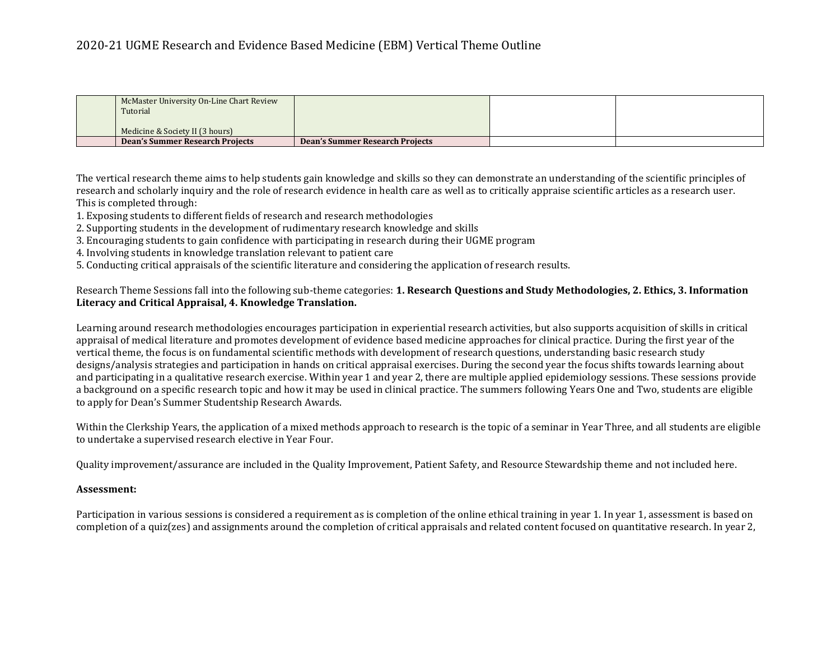### 2020-21 UGME Research and Evidence Based Medicine (EBM) Vertical Theme Outline

| McMaster University On-Line Chart Review<br>Tutorial |                                        |  |
|------------------------------------------------------|----------------------------------------|--|
| Medicine & Society II (3 hours)                      |                                        |  |
| <b>Dean's Summer Research Projects</b>               | <b>Dean's Summer Research Projects</b> |  |

The vertical research theme aims to help students gain knowledge and skills so they can demonstrate an understanding of the scientific principles of research and scholarly inquiry and the role of research evidence in health care as well as to critically appraise scientific articles as a research user. This is completed through:

- 1. Exposing students to different fields of research and research methodologies
- 2. Supporting students in the development of rudimentary research knowledge and skills
- 3. Encouraging students to gain confidence with participating in research during their UGME program
- 4. Involving students in knowledge translation relevant to patient care
- 5. Conducting critical appraisals of the scientific literature and considering the application of research results.

#### Research Theme Sessions fall into the following sub-theme categories: **1. Research Questions and Study Methodologies, 2. Ethics, 3. Information Literacy and Critical Appraisal, 4. Knowledge Translation.**

Learning around research methodologies encourages participation in experiential research activities, but also supports acquisition of skills in critical appraisal of medical literature and promotes development of evidence based medicine approaches for clinical practice. During the first year of the vertical theme, the focus is on fundamental scientific methods with development of research questions, understanding basic research study designs/analysis strategies and participation in hands on critical appraisal exercises. During the second year the focus shifts towards learning about and participating in a qualitative research exercise. Within year 1 and year 2, there are multiple applied epidemiology sessions. These sessions provide a background on a specific research topic and how it may be used in clinical practice. The summers following Years One and Two, students are eligible to apply for Dean's Summer Studentship Research Awards.

Within the Clerkship Years, the application of a mixed methods approach to research is the topic of a seminar in Year Three, and all students are eligible to undertake a supervised research elective in Year Four.

Quality improvement/assurance are included in the Quality Improvement, Patient Safety, and Resource Stewardship theme and not included here.

#### **Assessment:**

Participation in various sessions is considered a requirement as is completion of the online ethical training in year 1. In year 1, assessment is based on completion of a quiz(zes) and assignments around the completion of critical appraisals and related content focused on quantitative research. In year 2,